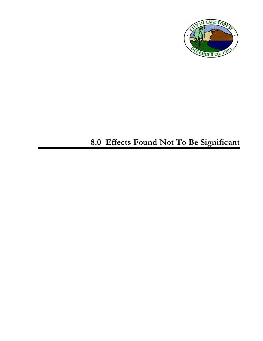

## **8.0 Effects Found Not To Be Significant**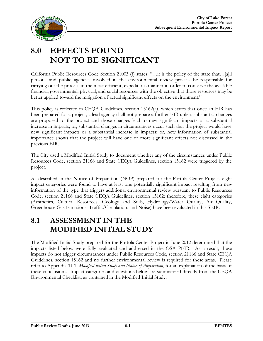

## **8.0 EFFECTS FOUND NOT TO BE SIGNIFICANT**

California Public Resources Code Section 21003 (f) states: "…it is the policy of the state that…[a]ll persons and public agencies involved in the environmental review process be responsible for carrying out the process in the most efficient, expeditious manner in order to conserve the available financial, governmental, physical, and social resources with the objective that those resources may be better applied toward the mitigation of actual significant effects on the environment."

This policy is reflected in CEQA Guidelines, section 15162(a), which states that once an EIR has been prepared for a project, a lead agency shall not prepare a further EIR unless substantial changes are proposed to the project and those changes lead to new significant impacts or a substantial increase in impacts; or, substantial changes in circumstances occur such that the project would have new significant impacts or a substantial increase in impacts; or, new information of substantial importance shows that the project will have one or more significant effects not discussed in the previous EIR.

The City used a Modified Initial Study to document whether any of the circumstances under Public Resources Code, section 21166 and State CEQA Guidelines, section 15162 were triggered by the project.

As described in the Notice of Preparation (NOP) prepared for the Portola Center Project, eight impact categories were found to have at least one potentially significant impact resulting from new information of the type that triggers additional environmental review pursuant to Public Resources Code, section 21166 and State CEQA Guidelines, section 15162; therefore, these eight categories (Aesthetics, Cultural Resources, Geology and Soils, Hydrology/Water Quality, Air Quality, Greenhouse Gas Emissions, Traffic/Circulation, and Noise) have been evaluated in this SEIR.

## **8.1 ASSESSMENT IN THE MODIFIED INITIAL STUDY**

The Modified Initial Study prepared for the Portola Center Project in June 2012 determined that the impacts listed below were fully evaluated and addressed in the OSA PEIR. As a result, these impacts do not trigger circumstances under Public Resources Code, section 21166 and State CEQA Guidelines, section 15162 and no further environmental review is required for these areas. Please refer to Appendix 11.1, *Modified initial Study and Notice of Preparation*, for an explanation of the basis of these conclusions. Impact categories and questions below are summarized directly from the CEQA Environmental Checklist, as contained in the Modified Initial Study.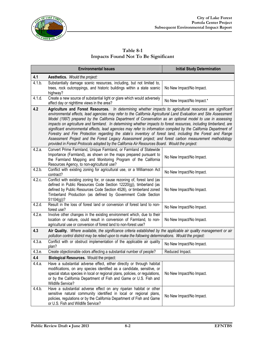

## **Table 8-1 Impacts Found Not To Be Significant**

|                      | <b>Environmental Issues</b>                                                                                                                                                                                                                                                                                                                                                                                                                                                                                                                                                                                                                                                                                                                                                                                                                                                                                           | <b>Initial Study Determination</b> |  |
|----------------------|-----------------------------------------------------------------------------------------------------------------------------------------------------------------------------------------------------------------------------------------------------------------------------------------------------------------------------------------------------------------------------------------------------------------------------------------------------------------------------------------------------------------------------------------------------------------------------------------------------------------------------------------------------------------------------------------------------------------------------------------------------------------------------------------------------------------------------------------------------------------------------------------------------------------------|------------------------------------|--|
| 4.1                  | Aesthetics. Would the project:                                                                                                                                                                                                                                                                                                                                                                                                                                                                                                                                                                                                                                                                                                                                                                                                                                                                                        |                                    |  |
| 4.1.b.               | Substantially damage scenic resources, including, but not limited to,<br>trees, rock outcroppings, and historic buildings within a state scenic<br>highway?                                                                                                                                                                                                                                                                                                                                                                                                                                                                                                                                                                                                                                                                                                                                                           | No New Impact/No Impact.           |  |
| 4.1.d.               | Create a new source of substantial light or glare which would adversely<br>affect day or nighttime views in the area?                                                                                                                                                                                                                                                                                                                                                                                                                                                                                                                                                                                                                                                                                                                                                                                                 | No New Impact/No Impact.*          |  |
| 4.2                  | Agriculture and Forest Resources. In determining whether impacts to agricultural resources are significant<br>environmental effects, lead agencies may refer to the California Agricultural Land Evaluation and Site Assessment<br>Model (1997) prepared by the California Department of Conservation as an optional model to use in assessing<br>impacts on agriculture and farmland. In determining whether impacts to forest resources, including timberland, are<br>significant environmental effects, lead agencies may refer to information compiled by the California Department of<br>Forestry and Fire Protection regarding the state's inventory of forest land, including the Forest and Range<br>Assessment Project and the Forest Legacy Assessment project; and forest carbon measurement methodology<br>provided in Forest Protocols adopted by the California Air Resources Board. Would the project: |                                    |  |
| 4.2.a.               | Convert Prime Farmland, Unique Farmland, or Farmland of Statewide<br>Importance (Farmland), as shown on the maps prepared pursuant to<br>the Farmland Mapping and Monitoring Program of the California<br>Resources Agency, to non-agricultural use?                                                                                                                                                                                                                                                                                                                                                                                                                                                                                                                                                                                                                                                                  | No New Impact/No Impact.           |  |
| 4.2.b.               | Conflict with existing zoning for agricultural use, or a Williamson Act<br>contract?                                                                                                                                                                                                                                                                                                                                                                                                                                                                                                                                                                                                                                                                                                                                                                                                                                  | No New Impact/No Impact.           |  |
| 4.2.c.               | Conflict with existing zoning for, or cause rezoning of, forest land (as<br>defined in Public Resources Code Section 12220(g)), timberland (as<br>defined by Public Resources Code Section 4526), or timberland zoned<br>Timberland Production (as defined by Government Code Section<br>51104(g))?                                                                                                                                                                                                                                                                                                                                                                                                                                                                                                                                                                                                                   | No New Impact/No Impact.           |  |
| 4.2.d.               | Result in the loss of forest land or conversion of forest land to non-<br>forest use?                                                                                                                                                                                                                                                                                                                                                                                                                                                                                                                                                                                                                                                                                                                                                                                                                                 | No New Impact/No Impact.           |  |
| 4.2.e.               | Involve other changes in the existing environment which, due to their<br>location or nature, could result in conversion of Farmland, to non-<br>agricultural use or conversion of forest land to non-forest use?                                                                                                                                                                                                                                                                                                                                                                                                                                                                                                                                                                                                                                                                                                      | No New Impact/No Impact.           |  |
| 4.3                  | Air Quality. Where available, the significance criteria established by the applicable air quality management or air<br>pollution control district may be relied upon to make the following determinations. Would the project:                                                                                                                                                                                                                                                                                                                                                                                                                                                                                                                                                                                                                                                                                         |                                    |  |
| 4.3.a.               | Conflict with or obstruct implementation of the applicable air quality<br>plan?                                                                                                                                                                                                                                                                                                                                                                                                                                                                                                                                                                                                                                                                                                                                                                                                                                       | No New Impact/No Impact.           |  |
| $\overline{4.3}$ .e. | Create objectionable odors affecting a substantial number of people?                                                                                                                                                                                                                                                                                                                                                                                                                                                                                                                                                                                                                                                                                                                                                                                                                                                  | Reduced Impact.                    |  |
| 4.4                  | Biological Resources. Would the project:                                                                                                                                                                                                                                                                                                                                                                                                                                                                                                                                                                                                                                                                                                                                                                                                                                                                              |                                    |  |
| 4.4.a.               | Have a substantial adverse effect, either directly or through habitat<br>modifications, on any species identified as a candidate, sensitive, or<br>special status species in local or regional plans, policies, or regulations,<br>or by the California Department of Fish and Game or U.S. Fish and<br>Wildlife Service?                                                                                                                                                                                                                                                                                                                                                                                                                                                                                                                                                                                             | No New Impact/No Impact.           |  |
| 4.4.b.               | Have a substantial adverse effect on any riparian habitat or other<br>sensitive natural community identified in local or regional plans,<br>policies, regulations or by the California Department of Fish and Game<br>or U.S. Fish and Wildlife Service?                                                                                                                                                                                                                                                                                                                                                                                                                                                                                                                                                                                                                                                              | No New Impact/No Impact.           |  |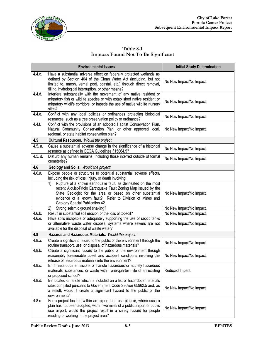

**Table 8-1 Impacts Found Not To Be Significant**

|         | <b>Environmental Issues</b>                                                                                                                                                                                                                                                                           | <b>Initial Study Determination</b> |
|---------|-------------------------------------------------------------------------------------------------------------------------------------------------------------------------------------------------------------------------------------------------------------------------------------------------------|------------------------------------|
| 4.4.c.  | Have a substantial adverse effect on federally protected wetlands as<br>defined by Section 404 of the Clean Water Act (including, but not<br>limited to, marsh, vernal pool, coastal, etc.) through direct removal,<br>filling, hydrological interruption, or other means?                            | No New Impact/No Impact.           |
| 4.4.d.  | Interfere substantially with the movement of any native resident or<br>migratory fish or wildlife species or with established native resident or<br>migratory wildlife corridors, or impede the use of native wildlife nursery<br>sites?                                                              | No New Impact/No Impact.           |
| 4.4.e.  | Conflict with any local policies or ordinances protecting biological<br>resources, such as a tree preservation policy or ordinance?                                                                                                                                                                   | No New Impact/No Impact.           |
| 4.4.f.  | Conflict with the provisions of an adopted Habitat Conservation Plan,<br>Natural Community Conservation Plan, or other approved local,<br>regional, or state habitat conservation plan?                                                                                                               | No New Impact/No Impact.           |
| 4.5     | Cultural Resources. Would the project:                                                                                                                                                                                                                                                                |                                    |
| 4.5. a. | Cause a substantial adverse change in the significance of a historical<br>resource as defined in CEQA Guidelines §15064.5?                                                                                                                                                                            | No New Impact/No Impact.           |
| 4.5. d. | Disturb any human remains, including those interred outside of formal<br>cemeteries?                                                                                                                                                                                                                  | No New Impact/No Impact.           |
| 4.6     | Geology and Soils. Would the project:                                                                                                                                                                                                                                                                 |                                    |
| 4.6.a.  | Expose people or structures to potential substantial adverse effects,<br>including the risk of loss, injury, or death involving:                                                                                                                                                                      |                                    |
|         | Rupture of a known earthquake fault, as delineated on the most<br>1)<br>recent Alquist-Priolo Earthquake Fault Zoning Map issued by the<br>State Geologist for the area or based on other substantial<br>evidence of a known fault? Refer to Division of Mines and<br>Geology Special Publication 42. | No New Impact/No Impact.           |
|         | Strong seismic ground shaking?<br>2)                                                                                                                                                                                                                                                                  | No New Impact/No Impact.           |
| 4.6.b.  | Result in substantial soil erosion or the loss of topsoil?                                                                                                                                                                                                                                            | No New Impact/No Impact.           |
| 4.6.e.  | Have soils incapable of adequately supporting the use of septic tanks<br>or alternative waste water disposal systems where sewers are not<br>available for the disposal of waste water?                                                                                                               | No New Impact/No Impact.           |
| 4.8     | Hazards and Hazardous Materials. Would the project:                                                                                                                                                                                                                                                   |                                    |
| 4.8.a.  | Create a significant hazard to the public or the environment through the<br>routine transport, use, or disposal of hazardous materials?                                                                                                                                                               | No New Impact/No Impact.           |
| 4.8.b.  | Create a significant hazard to the public or the environment through<br>reasonably foreseeable upset and accident conditions involving the<br>release of hazardous materials into the environment?                                                                                                    | No New Impact/No Impact.           |
| 4.8.c.  | Emit hazardous emissions or handle hazardous or acutely hazardous<br>materials, substances, or waste within one-quarter mile of an existing<br>or proposed school?                                                                                                                                    | Reduced Impact.                    |
| 4.8.d.  | Be located on a site which is included on a list of hazardous materials<br>sites compiled pursuant to Government Code Section 65962.5 and, as<br>a result, would it create a significant hazard to the public or the<br>environment?                                                                  | No New Impact/No Impact.           |
| 4.8.e.  | For a project located within an airport land use plan or, where such a<br>plan has not been adopted, within two miles of a public airport or public<br>use airport, would the project result in a safety hazard for people<br>residing or working in the project area?                                | No New Impact/No Impact.           |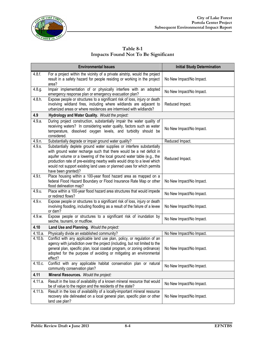

**Table 8-1 Impacts Found Not To Be Significant**

|           | <b>Environmental Issues</b>                                                                                                                                                                                                                                                                                                                                                                            | <b>Initial Study Determination</b> |
|-----------|--------------------------------------------------------------------------------------------------------------------------------------------------------------------------------------------------------------------------------------------------------------------------------------------------------------------------------------------------------------------------------------------------------|------------------------------------|
| 4.8.f.    | For a project within the vicinity of a private airstrip, would the project<br>result in a safety hazard for people residing or working in the project<br>area?                                                                                                                                                                                                                                         | No New Impact/No Impact.           |
| 4.8.g.    | Impair implementation of or physically interfere with an adopted<br>emergency response plan or emergency evacuation plan?                                                                                                                                                                                                                                                                              | No New Impact/No Impact.           |
| 4.8 h.    | Expose people or structures to a significant risk of loss, injury or death<br>involving wildland fires, including where wildlands are adjacent to<br>urbanized areas or where residences are intermixed with wildlands?                                                                                                                                                                                | Reduced Impact.                    |
| 4.9       | Hydrology and Water Quality. Would the project:                                                                                                                                                                                                                                                                                                                                                        |                                    |
| 4.9.a.    | During project construction, substantially impair the water quality of<br>receiving waters? In considering water quality, factors such as water<br>temperature, dissolved oxygen levels, and turbidity should be<br>considered.                                                                                                                                                                        | No New Impact/No Impact.           |
| 4.9.n.    | Substantially degrade or impair ground water quality?                                                                                                                                                                                                                                                                                                                                                  | Reduced Impact.                    |
| $4.9.$ s. | Substantially deplete ground water supplies or interfere substantially<br>with ground water recharge such that there would be a net deficit in<br>aquifer volume or a lowering of the local ground water table (e.g., the<br>production rate of pre-existing nearby wells would drop to a level which<br>would not support existing land uses or planned uses for which permits<br>have been granted)? | Reduced Impact.                    |
| 4.9.t.    | Place housing within a 100-year flood hazard area as mapped on a<br>federal Flood Hazard Boundary or Flood Insurance Rate Map or other<br>flood delineation map?                                                                                                                                                                                                                                       | No New Impact/No Impact.           |
| 4.9.u.    | Place within a 100-year flood hazard area structures that would impede<br>or redirect flows?                                                                                                                                                                                                                                                                                                           | No New Impact/No Impact.           |
| 4.9.v.    | Expose people or structures to a significant risk of loss, injury or death<br>involving flooding, including flooding as a result of the failure of a levee<br>or dam?                                                                                                                                                                                                                                  | No New Impact/No Impact.           |
| 4.9.w.    | Expose people or structures to a significant risk of inundation by<br>seiche, tsunami, or mudflow.                                                                                                                                                                                                                                                                                                     | No New Impact/No Impact.           |
| 4.10      | Land Use and Planning. Would the project:                                                                                                                                                                                                                                                                                                                                                              |                                    |
| 4.10.a.   | Physically divide an established community?                                                                                                                                                                                                                                                                                                                                                            | No New Impact/No Impact.           |
| 4.10.b.   | Conflict with any applicable land use plan, policy, or regulation of an<br>agency with jurisdiction over the project (including, but not limited to the<br>general plan, specific plan, local coastal program, or zoning ordinance)<br>adopted for the purpose of avoiding or mitigating an environmental<br>effect?                                                                                   | No New Impact/No Impact.           |
| 4.10.c.   | Conflict with any applicable habitat conservation plan or natural<br>community conservation plan?                                                                                                                                                                                                                                                                                                      | No New Impact/No Impact.           |
| 4.11      | Mineral Resources. Would the project:                                                                                                                                                                                                                                                                                                                                                                  |                                    |
| 4.11.a.   | Result in the loss of availability of a known mineral resource that would<br>be of value to the region and the residents of the state?                                                                                                                                                                                                                                                                 | No New Impact/No Impact.           |
| 4.11.b.   | Result in the loss of availability of a locally-important mineral resource<br>recovery site delineated on a local general plan, specific plan or other<br>land use plan?                                                                                                                                                                                                                               | No New Impact/No Impact.           |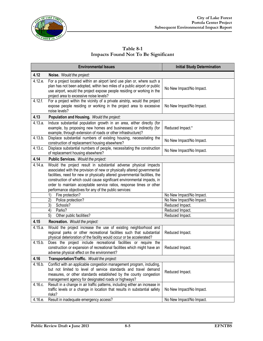

**Table 8-1 Impacts Found Not To Be Significant**

|         | <b>Environmental Issues</b>                                                                                                                                                                                                                                                                                                                                                                                                             | <b>Initial Study Determination</b> |
|---------|-----------------------------------------------------------------------------------------------------------------------------------------------------------------------------------------------------------------------------------------------------------------------------------------------------------------------------------------------------------------------------------------------------------------------------------------|------------------------------------|
| 4.12    | Noise. Would the project:                                                                                                                                                                                                                                                                                                                                                                                                               |                                    |
| 4.12.e. | For a project located within an airport land use plan or, where such a<br>plan has not been adopted, within two miles of a public airport or public<br>use airport, would the project expose people residing or working in the<br>project area to excessive noise levels?                                                                                                                                                               | No New Impact/No Impact.           |
| 4.12.f. | For a project within the vicinity of a private airstrip, would the project<br>expose people residing or working in the project area to excessive<br>noise levels?                                                                                                                                                                                                                                                                       | No New Impact/No Impact.           |
| 4.13    | Population and Housing. Would the project:                                                                                                                                                                                                                                                                                                                                                                                              |                                    |
| 4.13.a. | Induce substantial population growth in an area, either directly (for<br>example, by proposing new homes and businesses) or indirectly (for<br>example, through extension of roads or other infrastructure)?                                                                                                                                                                                                                            | Reduced Impact.*                   |
| 4.13.b. | Displace substantial numbers of existing housing, necessitating the<br>construction of replacement housing elsewhere?                                                                                                                                                                                                                                                                                                                   | No New Impact/No Impact.           |
| 4.13.c. | Displace substantial numbers of people, necessitating the construction<br>of replacement housing elsewhere?                                                                                                                                                                                                                                                                                                                             | No New Impact/No Impact.           |
| 4.14    | Public Services. Would the project:                                                                                                                                                                                                                                                                                                                                                                                                     |                                    |
| 4.14.a. | Would the project result in substantial adverse physical impacts<br>associated with the provision of new or physically altered governmental<br>facilities, need for new or physically altered governmental facilities, the<br>construction of which could cause significant environmental impacts, in<br>order to maintain acceptable service ratios, response times or other<br>performance objectives for any of the public services: |                                    |
|         | Fire protection?<br>1)                                                                                                                                                                                                                                                                                                                                                                                                                  | No New Impact/No Impact.           |
|         | 2)<br>Police protection?                                                                                                                                                                                                                                                                                                                                                                                                                | No New Impact/No Impact.           |
|         | 3)<br>Schools?                                                                                                                                                                                                                                                                                                                                                                                                                          | Reduced Impact.                    |
|         | 4)<br>Parks?                                                                                                                                                                                                                                                                                                                                                                                                                            | Reduced Impact.                    |
|         | 5)<br>Other public facilities?                                                                                                                                                                                                                                                                                                                                                                                                          | Reduced Impact.                    |
| 4.15    | Recreation. Would the project:                                                                                                                                                                                                                                                                                                                                                                                                          |                                    |
| 4.15.a. | Would the project increase the use of existing neighborhood and<br>regional parks or other recreational facilities such that substantial<br>physical deterioration of the facility would occur or be accelerated?                                                                                                                                                                                                                       | Reduced Impact.                    |
| 4.15.b. | Does the project include recreational facilities or require the<br>construction or expansion of recreational facilities which might have an<br>adverse physical effect on the environment?                                                                                                                                                                                                                                              | Reduced Impact.                    |
| 4.16    | Transportation/Traffic. Would the project:                                                                                                                                                                                                                                                                                                                                                                                              |                                    |
| 4.16.b. | Conflict with an applicable congestion management program, including,<br>but not limited to level of service standards and travel demand<br>measures, or other standards established by the county congestion<br>management agency for designated roads or highways?                                                                                                                                                                    | Reduced Impact.                    |
| 4.16.c. | Result in a change in air traffic patterns, including either an increase in<br>traffic levels or a change in location that results in substantial safety<br>risks?                                                                                                                                                                                                                                                                      | No New Impact/No Impact.           |
| 4.16.e. | Result in inadequate emergency access?                                                                                                                                                                                                                                                                                                                                                                                                  | No New Impact/No Impact.           |